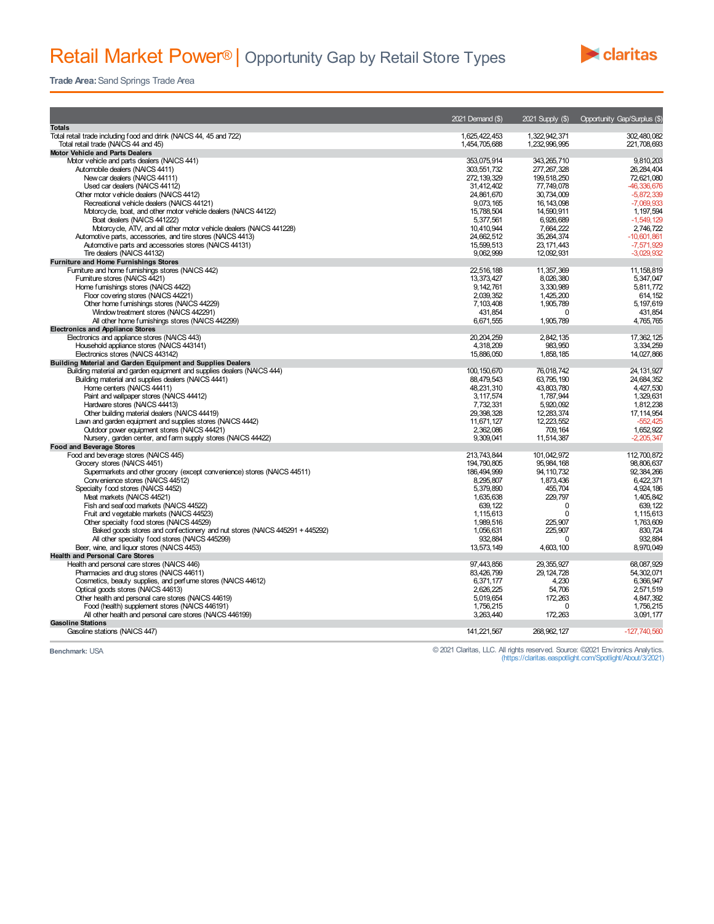

**Trade Area:**Sand Springs Trade Area

|                                                                                                                          | 2021 Demand (\$)         |                            | 2021 Supply (\$) Opportunity Gap/Surplus (\$) |
|--------------------------------------------------------------------------------------------------------------------------|--------------------------|----------------------------|-----------------------------------------------|
| <b>Totals</b>                                                                                                            |                          |                            |                                               |
| Total retail trade including food and drink (NAICS 44, 45 and 722)                                                       | 1,625,422,453            | 1,322,942,371              | 302.480.082                                   |
| Total retail trade (NAICS 44 and 45)                                                                                     | 1,454,705,688            | 1,232,996,995              | 221,708,693                                   |
| Motor Vehicle and Parts Dealers                                                                                          |                          |                            |                                               |
| Motor vehicle and parts dealers (NAICS 441)                                                                              | 353,075,914              | 343, 265, 710              | 9,810,203                                     |
| Automobile dealers (NAICS 4411)                                                                                          | 303.551.732              | 277.267.328                | 26.284.404                                    |
| New car dealers (NAICS 44111)                                                                                            | 272, 139, 329            | 199,518,250                | 72,621,080                                    |
| Used car dealers (NAICS 44112)                                                                                           | 31,412,402               | 77,749,078                 | -46,336,676                                   |
| Other motor vehicle dealers (NAICS 4412)                                                                                 | 24.861.670               | 30.734.009                 | $-5.872.339$                                  |
| Recreational vehicle dealers (NAICS 44121)                                                                               | 9,073,165                | 16, 143, 098               | $-7,069,933$                                  |
| Motorcycle, boat, and other motor vehicle dealers (NAICS 44122)                                                          | 15,788,504               | 14,590.911                 | 1, 197, 594                                   |
| Boat dealers (NAICS 441222)                                                                                              | 5.377.561                | 6.926.689                  | $-1.549.129$                                  |
| Motorcycle, ATV, and all other motor vehicle dealers (NAICS 441228)                                                      | 10,410,944               | 7,664,222                  | 2,746,722                                     |
| Automotive parts, accessories, and tire stores (NAICS 4413)<br>Automotive parts and accessories stores (NAICS 44131)     | 24.662.512<br>15,599,513 | 35.264.374<br>23, 171, 443 | $-10.601.861$<br>$-7,571,929$                 |
| Tire dealers (NAICS 44132)                                                                                               | 9.062.999                | 12,092,931                 | $-3.029.932$                                  |
| <b>Furniture and Home Furnishings Stores</b>                                                                             |                          |                            |                                               |
| Furniture and home furnishings stores (NAICS 442)                                                                        | 22.516.188               | 11.357.369                 | 11.158.819                                    |
| Furniture stores (NAICS 4421)                                                                                            | 13,373,427               | 8,026,380                  | 5.347.047                                     |
| Home furnishings stores (NAICS 4422)                                                                                     | 9, 142, 761              | 3,330,989                  | 5,811,772                                     |
| Floor covering stores (NAICS 44221)                                                                                      | 2.039.352                | 1.425.200                  | 614.152                                       |
| Other home furnishings stores (NAICS 44229)                                                                              | 7,103,408                | 1,905,789                  | 5, 197, 619                                   |
| Window treatment stores (NAICS 442291)                                                                                   | 431.854                  | $\Omega$                   | 431.854                                       |
| All other home furnishings stores (NAICS 442299)                                                                         | 6,671,555                | 1,905,789                  | 4.765.765                                     |
| <b>Electronics and Appliance Stores</b>                                                                                  |                          |                            |                                               |
| Electronics and appliance stores (NAICS 443)                                                                             | 20, 204, 259             | 2.842.135                  | 17.362.125                                    |
| Household appliance stores (NAICS 443141)                                                                                | 4,318,209                | 983,950                    | 3,334,259                                     |
| Electronics stores (NAICS 443142)                                                                                        | 15,886,050               | 1,858,185                  | 14,027,866                                    |
| Building Material and Garden Equipment and Supplies Dealers                                                              |                          |                            |                                               |
| Building material and garden equipment and supplies dealers (NAICS 444)                                                  | 100, 150, 670            | 76,018,742                 | 24, 131, 927                                  |
| Building material and supplies dealers (NAICS 4441)                                                                      | 88.479.543               | 63.795.190                 | 24.684.352                                    |
| Home centers (NAICS 44411)                                                                                               | 48.231.310               | 43.803.780                 | 4,427,530                                     |
| Paint and wallpaper stores (NAICS 44412)                                                                                 | 3.117.574                | 1.787.944                  | 1.329.631                                     |
| Hardware stores (NAICS 44413)                                                                                            | 7.732.331                | 5,920,092                  | 1,812,238                                     |
| Other building material dealers (NAICS 44419)                                                                            | 29.398.328               | 12.283.374                 | 17.114.954                                    |
| Lawn and garden equipment and supplies stores (NAICS 4442)                                                               | 11,671,127               | 12,223,552                 | $-552.425$                                    |
| Outdoor power equipment stores (NAICS 44421)                                                                             | 2,362,086                | 709, 164                   | 1,652,922                                     |
| Nursery, garden center, and farm supply stores (NAICS 44422)                                                             | 9.309.041                | 11.514.387                 | $-2.205.347$                                  |
| <b>Food and Beverage Stores</b>                                                                                          |                          |                            |                                               |
| Food and beverage stores (NAICS 445)                                                                                     | 213.743.844              | 101.042.972                | 112.700.872                                   |
| Grocery stores (NAICS 4451)                                                                                              | 194.790.805              | 95.984.168                 | 98.806.637                                    |
| Supermarkets and other grocery (except convenience) stores (NAICS 44511)                                                 | 186,494,999              | 94, 110, 732               | 92, 384, 266                                  |
| Convenience stores (NAICS 44512)                                                                                         | 8.295.807                | 1.873.436                  | 6.422.371                                     |
| Specialty food stores (NAICS 4452)                                                                                       | 5,379,890                | 455,704                    | 4,924,186                                     |
| Meat markets (NAICS 44521)                                                                                               | 1.635.638                | 229,797                    | 1,405,842                                     |
| Fish and seafood markets (NAICS 44522)                                                                                   | 639.122                  | $\Omega$                   | 639.122                                       |
| Fruit and vegetable markets (NAICS 44523)                                                                                | 1,115,613                | 0                          | 1,115,613                                     |
| Other specialty food stores (NAICS 44529)<br>Baked goods stores and confectionery and nut stores (NAICS 445291 + 445292) | 1,989,516<br>1.056.631   | 225.907<br>225.907         | 1,763,609<br>830.724                          |
| All other specialty food stores (NAICS 445299)                                                                           | 932.884                  | $\Omega$                   | 932.884                                       |
| Beer, wine, and liquor stores (NAICS 4453)                                                                               | 13,573,149               | 4,603,100                  | 8,970,049                                     |
| <b>Health and Personal Care Stores</b>                                                                                   |                          |                            |                                               |
| Health and personal care stores (NAICS 446)                                                                              | 97,443,856               | 29.355.927                 | 68,087,929                                    |
| Pharmacies and drug stores (NAICS 44611)                                                                                 | 83,426,799               | 29, 124, 728               | 54,302,071                                    |
| Cosmetics, beauty supplies, and perfume stores (NAICS 44612)                                                             | 6.371.177                | 4.230                      | 6.366.947                                     |
| Optical goods stores (NAICS 44613)                                                                                       | 2,626,225                | 54.706                     | 2,571,519                                     |
| Other health and personal care stores (NAICS 44619)                                                                      | 5.019.654                | 172,263                    | 4.847.392                                     |
| Food (health) supplement stores (NAICS 446191)                                                                           | 1,756,215                | 0                          | 1,756,215                                     |
| All other health and personal care stores (NAICS 446199)                                                                 | 3,263,440                | 172,263                    | 3,091,177                                     |
| <b>Gasoline Stations</b>                                                                                                 |                          |                            |                                               |
| Gasoline stations (NAICS 447)                                                                                            | 141,221,567              | 268, 962, 127              | $-127,740,560$                                |
|                                                                                                                          |                          |                            |                                               |

Benchmark: USA Charitas, LLC. All rights reserved. Source: ©2021 Environics Analytics.<br>(https://claritas.easpotlight/About/3/2021) (https://claritas.easpotlight/About/3/2021) (https://claritas.easpotlight/About/3/2021)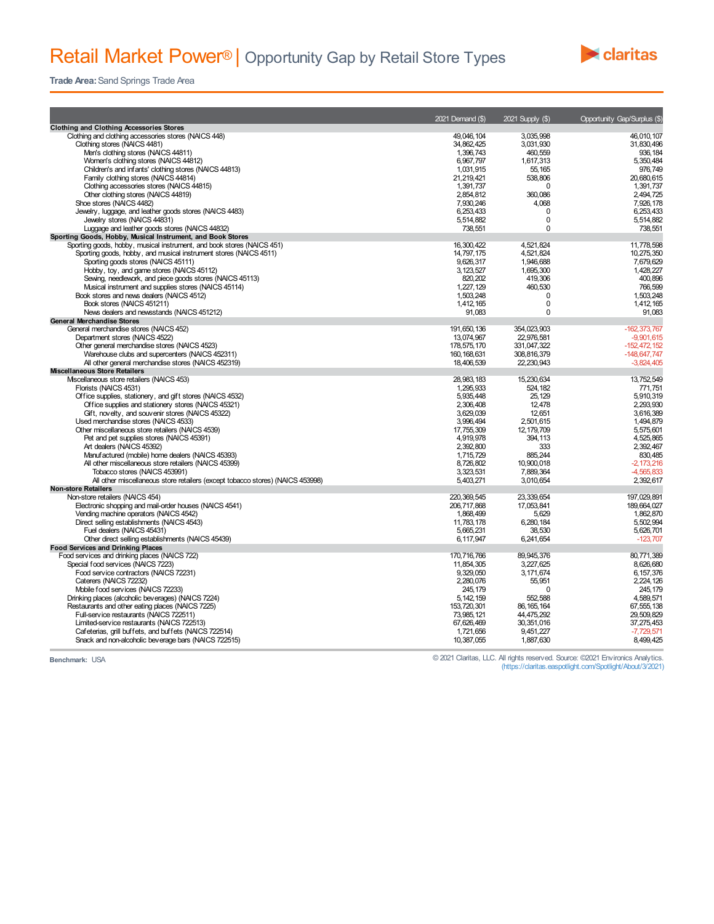## Retail Market Power<sup>®</sup> | Opportunity Gap by Retail Store Types



**Trade Area:**Sand Springs Trade Area

|                                                                                          | 2021 Demand (\$)        | 2021 Supply (\$)        | Opportunity Gap/Surplus (\$) |
|------------------------------------------------------------------------------------------|-------------------------|-------------------------|------------------------------|
| <b>Clothing and Clothing Accessories Stores</b>                                          |                         |                         |                              |
| Clothing and clothing accessories stores (NAICS 448)                                     | 49.046.104              | 3.035.998               | 46.010.107                   |
| Clothing stores (NAICS 4481)                                                             | 34,862,425              | 3,031,930               | 31,830,496                   |
| Men's clothing stores (NAICS 44811)                                                      | 1,396,743               | 460,559                 | 936, 184                     |
| Women's clothing stores (NAICS 44812)                                                    | 6,967,797               | 1,617,313               | 5,350,484                    |
| Children's and infants' clothing stores (NAICS 44813)                                    | 1,031,915               | 55, 165                 | 976,749                      |
| Family clothing stores (NAICS 44814)<br>Clothing accessories stores (NAICS 44815)        | 21,219,421              | 538,806<br>$\Omega$     | 20.680.615<br>1,391,737      |
| Other clothing stores (NAICS 44819)                                                      | 1,391,737<br>2.854.812  | 360,086                 | 2.494.725                    |
| Shoe stores (NAICS 4482)                                                                 | 7,930,246               | 4,068                   | 7,926,178                    |
| Jewelry, luggage, and leather goods stores (NAICS 4483)                                  | 6.253.433               | $\Omega$                | 6.253.433                    |
| Jewelry stores (NAICS 44831)                                                             | 5,514,882               | $\mathbf 0$             | 5,514,882                    |
| Luggage and leather goods stores (NAICS 44832)                                           | 738,551                 | $\mathbf 0$             | 738,551                      |
| Sporting Goods, Hobby, Musical Instrument, and Book Stores                               |                         |                         |                              |
| Sporting goods, hobby, musical instrument, and book stores (NAICS 451)                   | 16,300,422              | 4.521.824               | 11,778,598                   |
| Sporting goods, hobby, and musical instrument stores (NAICS 4511)                        | 14,797,175              | 4,521,824               | 10,275,350                   |
| Sporting goods stores (NAICS 45111)                                                      | 9.626.317               | 1.946.688               | 7.679.629                    |
| Hobby, toy, and game stores (NAICS 45112)                                                | 3.123.527               | 1.695.300               | 1,428,227                    |
| Sewing, needlework, and piece goods stores (NAICS 45113)                                 | 820,202                 | 419,306                 | 400,896                      |
| Musical instrument and supplies stores (NAICS 45114)                                     | 1,227,129               | 460.530                 | 766,599                      |
| Book stores and news dealers (NAICS 4512)                                                | 1.503.248               | $\mathbf 0$             | 1.503.248                    |
| Book stores (NAICS 451211)                                                               | 1,412,165               | 0                       | 1,412,165                    |
| News dealers and newsstands (NAICS 451212)                                               | 91,083                  | $\Omega$                | 91.083                       |
| <b>General Merchandise Stores</b>                                                        |                         |                         |                              |
| General merchandise stores (NAICS 452)                                                   | 191,650,136             | 354,023,903             | $-162, 373, 767$             |
| Department stores (NAICS 4522)                                                           | 13,074,967              | 22,976,581              | $-9,901,615$                 |
| Other general merchandise stores (NAICS 4523)                                            | 178,575,170             | 331,047,322             | $-152.472.152$               |
| Warehouse clubs and supercenters (NAICS 452311)                                          | 160, 168, 631           | 308,816,379             | $-148.647.747$               |
| All other general merchandise stores (NAICS 452319)                                      | 18,406,539              | 22,230,943              | $-3,824,405$                 |
| <b>Miscellaneous Store Retailers</b>                                                     |                         |                         |                              |
| Mscellaneous store retailers (NAICS 453)                                                 | 28,983,183              | 15,230,634              | 13,752,549                   |
| Florists (NAICS 4531)                                                                    | 1,295,933               | 524, 182                | 771,751                      |
| Office supplies, stationery, and gift stores (NAICS 4532)                                | 5,935,448               | 25,129                  | 5,910,319                    |
| Office supplies and stationery stores (NAICS 45321)                                      | 2.306.408               | 12.478                  | 2.293.930                    |
| Gift, novelty, and souvenir stores (NAICS 45322)                                         | 3,629,039               | 12,651                  | 3,616,389                    |
| Used merchandise stores (NAICS 4533)<br>Other miscellaneous store retailers (NAICS 4539) | 3.996.494<br>17,755,309 | 2,501,615<br>12.179.709 | 1,494,879<br>5,575,601       |
| Pet and pet supplies stores (NAICS 45391)                                                | 4,919,978               | 394, 113                | 4,525,865                    |
| Art dealers (NAICS 45392)                                                                | 2.392.800               | 333                     | 2.392.467                    |
| Manufactured (mobile) home dealers (NAICS 45393)                                         | 1,715,729               | 885,244                 | 830,485                      |
| All other miscellaneous store retailers (NAICS 45399)                                    | 8,726,802               | 10,900,018              | $-2,173,216$                 |
| Tobacco stores (NAICS 453991)                                                            | 3.323.531               | 7.889.364               | -4.565,833                   |
| All other miscellaneous store retailers (except tobacco stores) (NAICS 453998)           | 5,403,271               | 3,010,654               | 2,392,617                    |
| <b>Non-store Retailers</b>                                                               |                         |                         |                              |
| Non-store retailers (NAICS 454)                                                          | 220.369.545             | 23.339.654              | 197.029.891                  |
| Electronic shopping and mail-order houses (NAICS 4541)                                   | 206,717,868             | 17,053,841              | 189,664,027                  |
| Vending machine operators (NAICS 4542)                                                   | 1,868,499               | 5,629                   | 1,862,870                    |
| Direct selling establishments (NAICS 4543)                                               | 11.783.178              | 6,280,184               | 5.502.994                    |
| Fuel dealers (NAICS 45431)                                                               | 5,665,231               | 38,530                  | 5,626,701                    |
| Other direct selling establishments (NAICS 45439)                                        | 6,117,947               | 6,241,654               | $-123.707$                   |
| <b>Food Services and Drinking Places</b>                                                 |                         |                         |                              |
| Food services and drinking places (NAICS 722)                                            | 170,716,766             | 89,945,376              | 80,771,389                   |
| Special food services (NAICS 7223)                                                       | 11.854.305              | 3,227,625               | 8.626.680                    |
| Food service contractors (NAICS 72231)                                                   | 9,329,050               | 3,171,674               | 6, 157, 376                  |
| Caterers (NAICS 72232)                                                                   | 2,280,076               | 55,951                  | 2,224,126                    |
| Mobile food services (NAICS 72233)                                                       | 245, 179                | $\Omega$                | 245.179                      |
| Drinking places (alcoholic beverages) (NAICS 7224)                                       | 5, 142, 159             | 552,588                 | 4,589,571                    |
| Restaurants and other eating places (NAICS 7225)                                         | 153.720.301             | 86.165.164              | 67.555.138                   |
| Full-service restaurants (NAICS 722511)                                                  | 73,985,121              | 44,475,292              | 29,509,829                   |
| Limited-service restaurants (NAICS 722513)                                               | 67,626,469              | 30,351,016              | 37,275,453                   |
| Cafeterias, grill buffets, and buffets (NAICS 722514)                                    | 1.721.656               | 9.451.227               | $-7.729.571$                 |
| Snack and non-alcoholic beverage bars (NAICS 722515)                                     | 10,387,055              | 1,887,630               | 8,499,425                    |

**Benchmark:** USA © 2021 Claritas, LLC. All rights reserved. Source: ©2021 Environics Analytics. (https://claritas.easpotlight.com/Spotlight/About/3/2021)